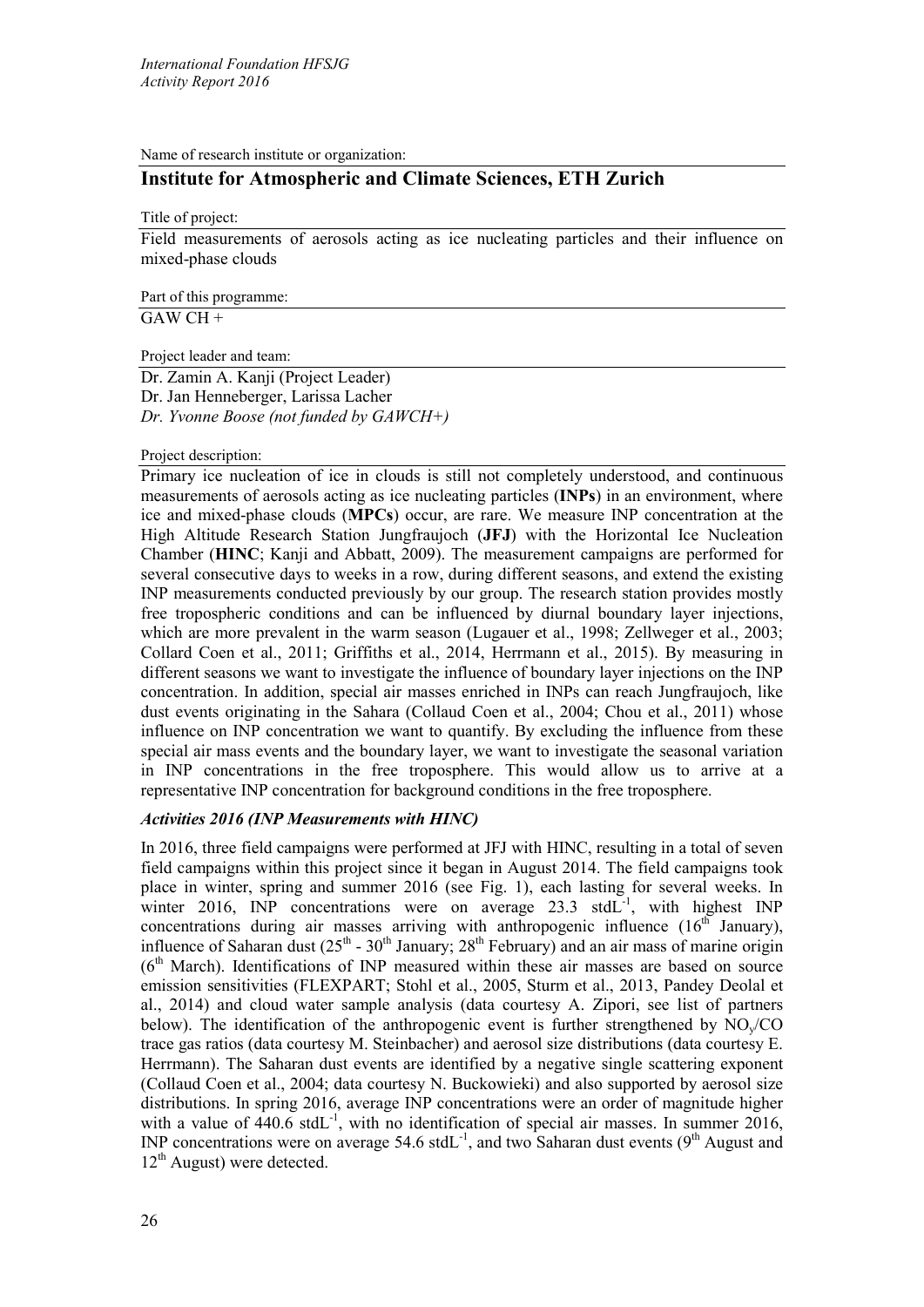Name of research institute or organization:

# **Institute for Atmospheric and Climate Sciences, ETH Zurich**

Title of project:

Field measurements of aerosols acting as ice nucleating particles and their influence on mixed-phase clouds

Part of this programme: GAW CH +

Project leader and team:

Dr. Zamin A. Kanji (Project Leader) Dr. Jan Henneberger, Larissa Lacher *Dr. Yvonne Boose (not funded by GAWCH+)*

# Project description:

Primary ice nucleation of ice in clouds is still not completely understood, and continuous measurements of aerosols acting as ice nucleating particles (**INPs**) in an environment, where ice and mixed-phase clouds (**MPCs**) occur, are rare. We measure INP concentration at the High Altitude Research Station Jungfraujoch (**JFJ**) with the Horizontal Ice Nucleation Chamber (**HINC**; Kanji and Abbatt, 2009). The measurement campaigns are performed for several consecutive days to weeks in a row, during different seasons, and extend the existing INP measurements conducted previously by our group. The research station provides mostly free tropospheric conditions and can be influenced by diurnal boundary layer injections, which are more prevalent in the warm season (Lugauer et al., 1998; Zellweger et al., 2003; Collard Coen et al., 2011; Griffiths et al., 2014, Herrmann et al., 2015). By measuring in different seasons we want to investigate the influence of boundary layer injections on the INP concentration. In addition, special air masses enriched in INPs can reach Jungfraujoch, like dust events originating in the Sahara (Collaud Coen et al., 2004; Chou et al., 2011) whose influence on INP concentration we want to quantify. By excluding the influence from these special air mass events and the boundary layer, we want to investigate the seasonal variation in INP concentrations in the free troposphere. This would allow us to arrive at a representative INP concentration for background conditions in the free troposphere.

# *Activities 2016 (INP Measurements with HINC)*

In 2016, three field campaigns were performed at JFJ with HINC, resulting in a total of seven field campaigns within this project since it began in August 2014. The field campaigns took place in winter, spring and summer 2016 (see Fig. 1), each lasting for several weeks. In winter 2016, INP concentrations were on average 23.3 stdL $^{-1}$ , with highest INP concentrations during air masses arriving with anthropogenic influence  $(16<sup>th</sup>$  January), influence of Saharan dust  $(25^{th} - 30^{th}$  January;  $28^{th}$  February) and an air mass of marine origin  $(6<sup>th</sup> March)$ . Identifications of INP measured within these air masses are based on source emission sensitivities (FLEXPART; Stohl et al., 2005, Sturm et al., 2013, Pandey Deolal et al., 2014) and cloud water sample analysis (data courtesy A. Zipori, see list of partners below). The identification of the anthropogenic event is further strengthened by  $NO<sub>v</sub>/CO$ trace gas ratios (data courtesy M. Steinbacher) and aerosol size distributions (data courtesy E. Herrmann). The Saharan dust events are identified by a negative single scattering exponent (Collaud Coen et al., 2004; data courtesy N. Buckowieki) and also supported by aerosol size distributions. In spring 2016, average INP concentrations were an order of magnitude higher with a value of  $440.6$  stdL<sup>-1</sup>, with no identification of special air masses. In summer 2016, INP concentrations were on average  $54.6$  stdL<sup>-1</sup>, and two Saharan dust events ( $9<sup>th</sup>$  August and  $12<sup>th</sup>$  August) were detected.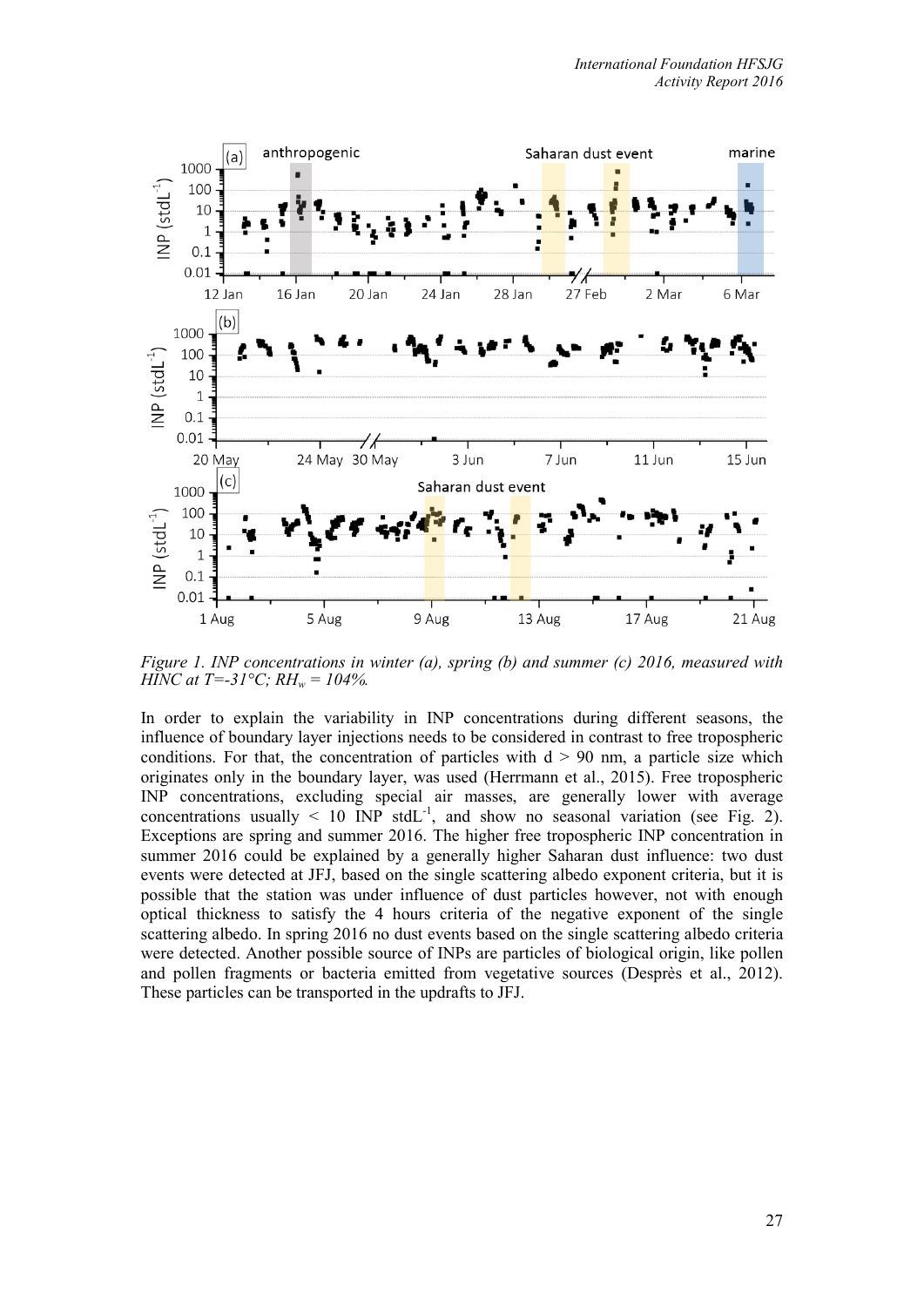

*Figure 1. INP concentrations in winter (a), spring (b) and summer (c) 2016, measured with HINC at T=-31°C; RH<sub>w</sub> = 104%.* 

In order to explain the variability in INP concentrations during different seasons, the influence of boundary layer injections needs to be considered in contrast to free tropospheric conditions. For that, the concentration of particles with  $d > 90$  nm, a particle size which originates only in the boundary layer, was used (Herrmann et al., 2015). Free tropospheric INP concentrations, excluding special air masses, are generally lower with average concentrations usually  $\leq 10$  INP stdL<sup>-1</sup>, and show no seasonal variation (see Fig. 2). Exceptions are spring and summer 2016. The higher free tropospheric INP concentration in summer 2016 could be explained by a generally higher Saharan dust influence: two dust events were detected at JFJ, based on the single scattering albedo exponent criteria, but it is possible that the station was under influence of dust particles however, not with enough optical thickness to satisfy the 4 hours criteria of the negative exponent of the single scattering albedo. In spring 2016 no dust events based on the single scattering albedo criteria were detected. Another possible source of INPs are particles of biological origin, like pollen and pollen fragments or bacteria emitted from vegetative sources (Desprès et al., 2012). These particles can be transported in the updrafts to JFJ.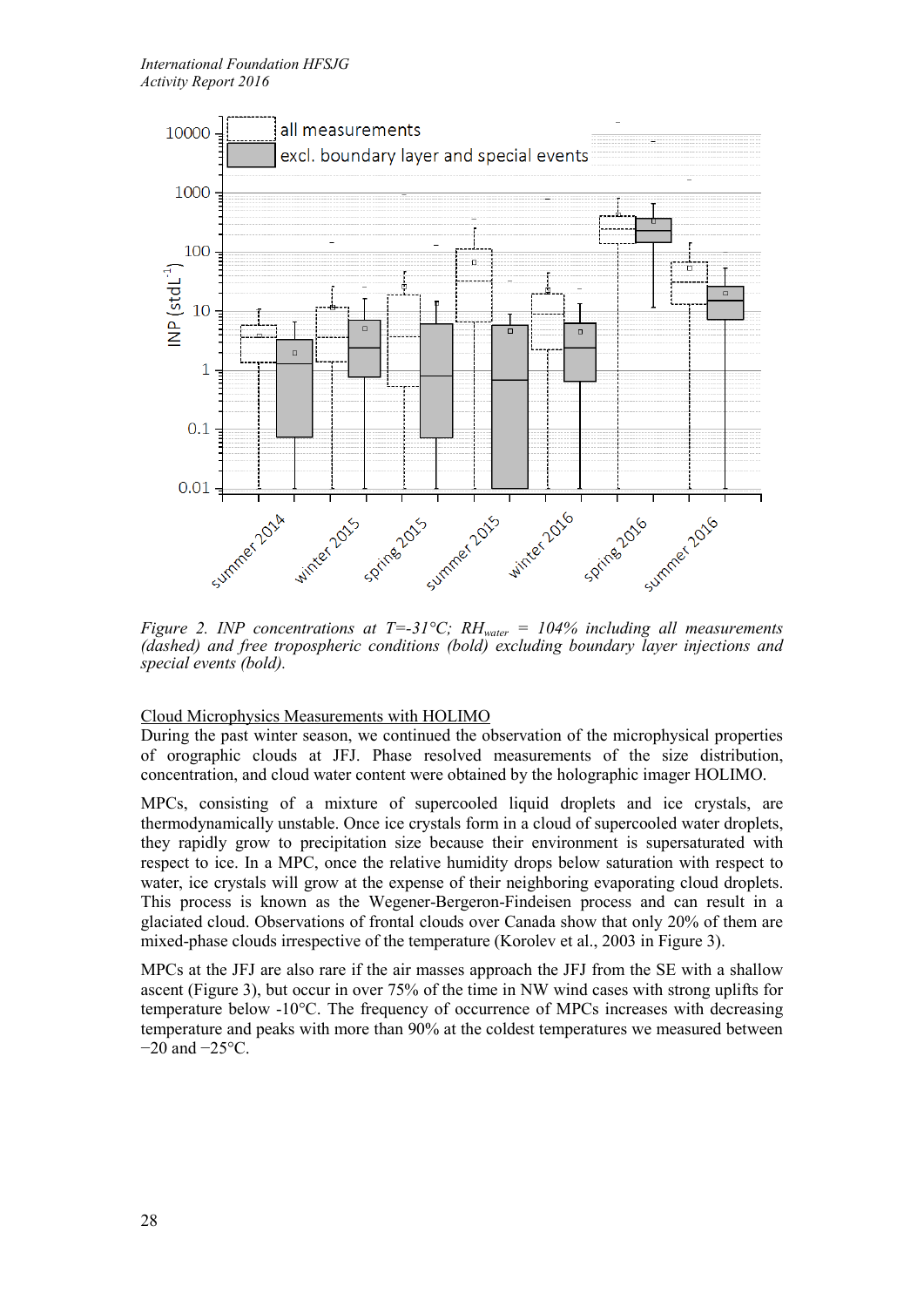

*Figure 2. INP concentrations at T=-31°C; RH<sub>water</sub> = 104% including all measurements (dashed) and free tropospheric conditions (bold) excluding boundary layer injections and special events (bold).*

# Cloud Microphysics Measurements with HOLIMO

During the past winter season, we continued the observation of the microphysical properties of orographic clouds at JFJ. Phase resolved measurements of the size distribution, concentration, and cloud water content were obtained by the holographic imager HOLIMO.

MPCs, consisting of a mixture of supercooled liquid droplets and ice crystals, are thermodynamically unstable. Once ice crystals form in a cloud of supercooled water droplets, they rapidly grow to precipitation size because their environment is supersaturated with respect to ice. In a MPC, once the relative humidity drops below saturation with respect to water, ice crystals will grow at the expense of their neighboring evaporating cloud droplets. This process is known as the Wegener-Bergeron-Findeisen process and can result in a glaciated cloud. Observations of frontal clouds over Canada show that only 20% of them are mixed-phase clouds irrespective of the temperature (Korolev et al., 2003 in Figure 3).

MPCs at the JFJ are also rare if the air masses approach the JFJ from the SE with a shallow ascent (Figure 3), but occur in over 75% of the time in NW wind cases with strong uplifts for temperature below -10°C. The frequency of occurrence of MPCs increases with decreasing temperature and peaks with more than 90% at the coldest temperatures we measured between −20 and −25°C.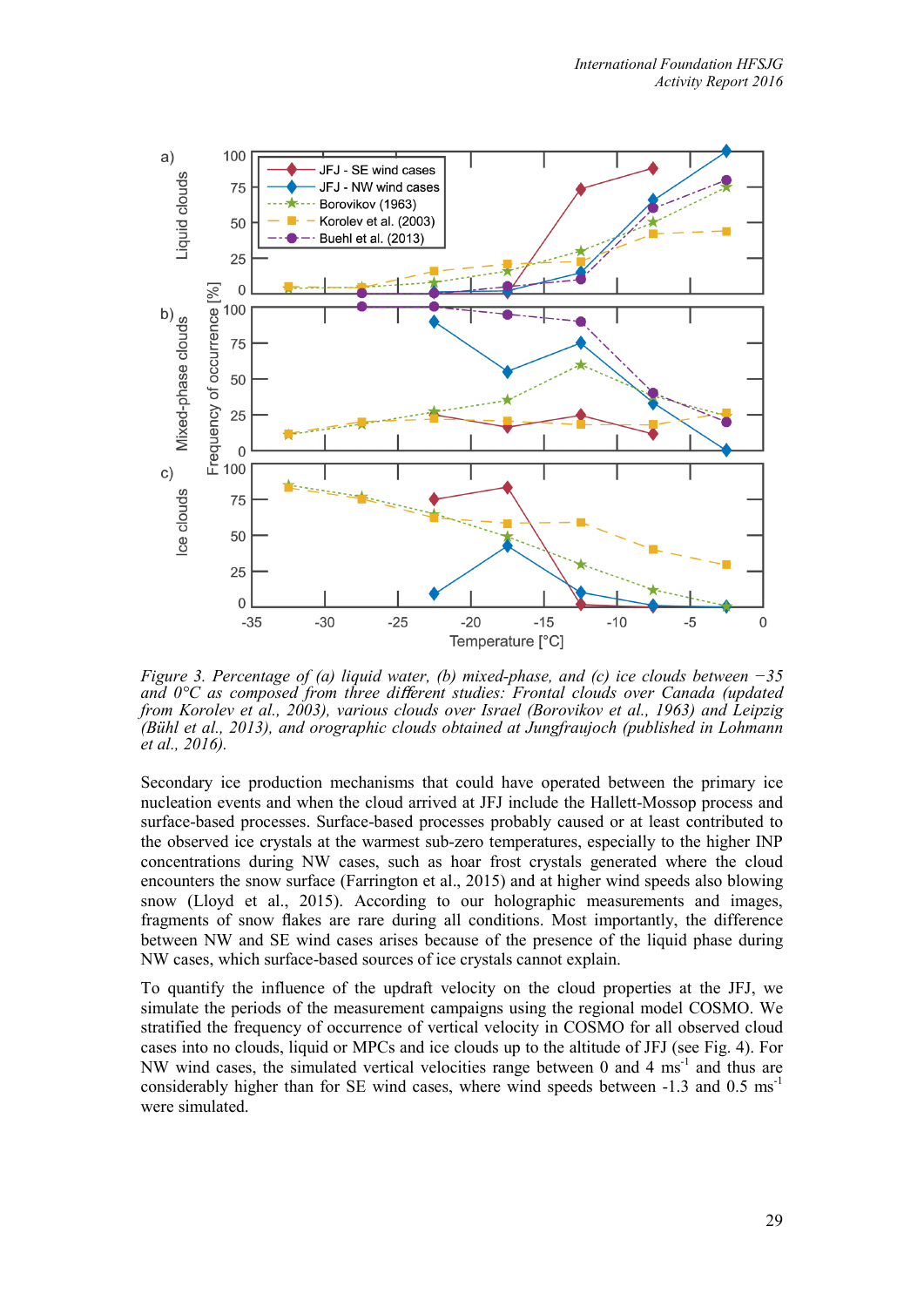

*Figure 3. Percentage of (a) liquid water, (b) mixed-phase, and (c) ice clouds between −35 and 0°C as composed from three di*ff*erent studies: Frontal clouds over Canada (updated from Korolev et al., 2003), various clouds over Israel (Borovikov et al., 1963) and Leipzig (Bühl et al., 2013), and orographic clouds obtained at Jungfraujoch (published in Lohmann et al., 2016).*

Secondary ice production mechanisms that could have operated between the primary ice nucleation events and when the cloud arrived at JFJ include the Hallett-Mossop process and surface-based processes. Surface-based processes probably caused or at least contributed to the observed ice crystals at the warmest sub-zero temperatures, especially to the higher INP concentrations during NW cases, such as hoar frost crystals generated where the cloud encounters the snow surface (Farrington et al., 2015) and at higher wind speeds also blowing snow (Lloyd et al., 2015). According to our holographic measurements and images, fragments of snow flakes are rare during all conditions. Most importantly, the difference between NW and SE wind cases arises because of the presence of the liquid phase during NW cases, which surface-based sources of ice crystals cannot explain.

To quantify the influence of the updraft velocity on the cloud properties at the JFJ, we simulate the periods of the measurement campaigns using the regional model COSMO. We stratified the frequency of occurrence of vertical velocity in COSMO for all observed cloud cases into no clouds, liquid or MPCs and ice clouds up to the altitude of JFJ (see Fig. 4). For NW wind cases, the simulated vertical velocities range between 0 and 4  $\text{ms}^{-1}$  and thus are considerably higher than for SE wind cases, where wind speeds between  $-1.3$  and  $0.5 \text{ ms}^{-1}$ were simulated.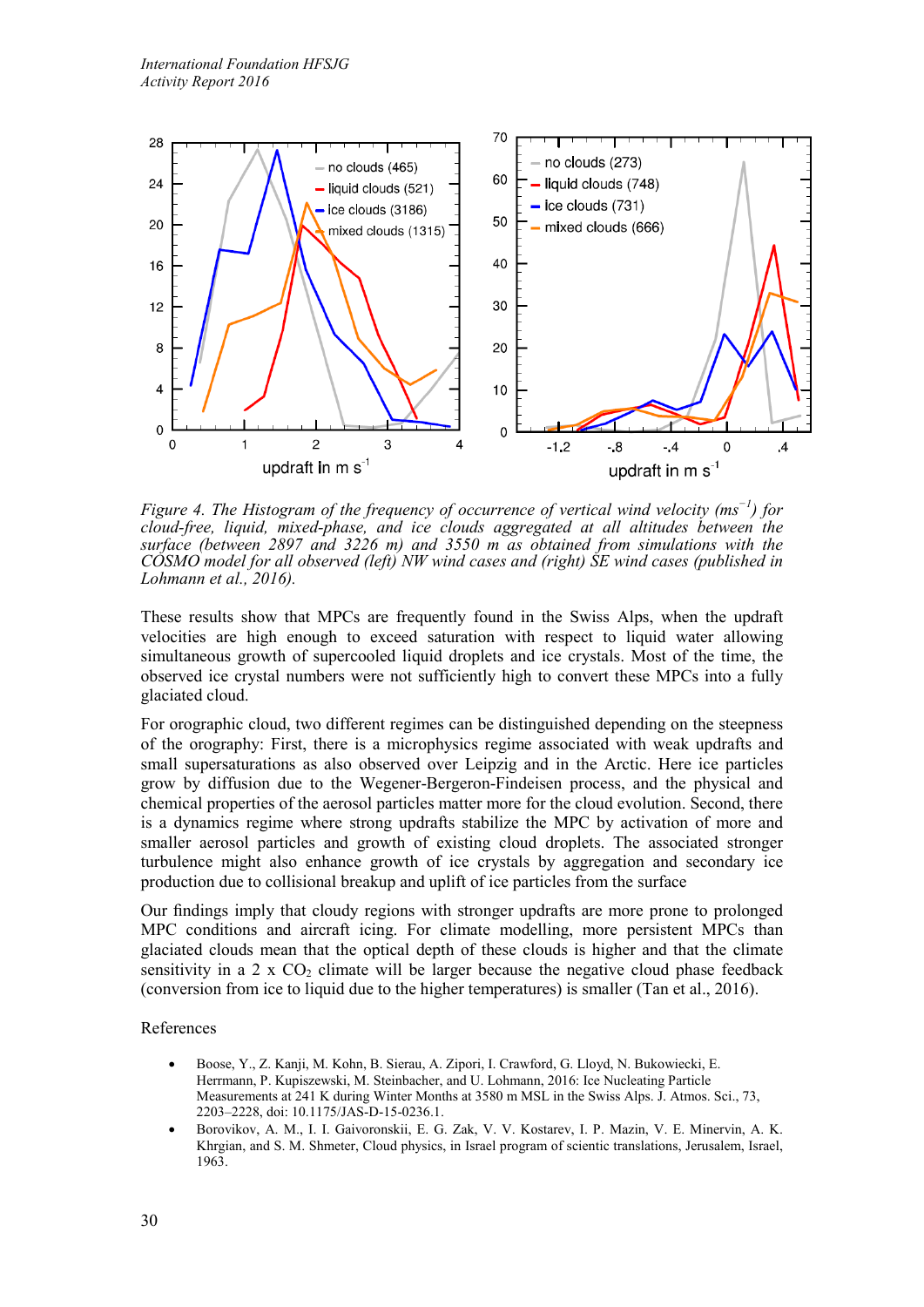

*Figure 4. The Histogram of the frequency of occurrence of vertical wind velocity (ms−1) for cloud-free, liquid, mixed-phase, and ice clouds aggregated at all altitudes between the surface (between 2897 and 3226 m) and 3550 m as obtained from simulations with the COSMO model for all observed (left) NW wind cases and (right) SE wind cases (published in Lohmann et al., 2016).*

These results show that MPCs are frequently found in the Swiss Alps, when the updraft velocities are high enough to exceed saturation with respect to liquid water allowing simultaneous growth of supercooled liquid droplets and ice crystals. Most of the time, the observed ice crystal numbers were not sufficiently high to convert these MPCs into a fully glaciated cloud.

For orographic cloud, two different regimes can be distinguished depending on the steepness of the orography: First, there is a microphysics regime associated with weak updrafts and small supersaturations as also observed over Leipzig and in the Arctic. Here ice particles grow by diffusion due to the Wegener-Bergeron-Findeisen process, and the physical and chemical properties of the aerosol particles matter more for the cloud evolution. Second, there is a dynamics regime where strong updrafts stabilize the MPC by activation of more and smaller aerosol particles and growth of existing cloud droplets. The associated stronger turbulence might also enhance growth of ice crystals by aggregation and secondary ice production due to collisional breakup and uplift of ice particles from the surface

Our findings imply that cloudy regions with stronger updrafts are more prone to prolonged MPC conditions and aircraft icing. For climate modelling, more persistent MPCs than glaciated clouds mean that the optical depth of these clouds is higher and that the climate sensitivity in a 2 x  $CO<sub>2</sub>$  climate will be larger because the negative cloud phase feedback (conversion from ice to liquid due to the higher temperatures) is smaller (Tan et al., 2016).

## References

- Boose, Y., Z. Kanji, M. Kohn, B. Sierau, A. Zipori, I. Crawford, G. Lloyd, N. Bukowiecki, E. Herrmann, P. Kupiszewski, M. Steinbacher, and U. Lohmann, 2016: Ice Nucleating Particle Measurements at 241 K during Winter Months at 3580 m MSL in the Swiss Alps. J. Atmos. Sci., 73, 2203–2228, doi: 10.1175/JAS-D-15-0236.1.
- Borovikov, A. M., I. I. Gaivoronskii, E. G. Zak, V. V. Kostarev, I. P. Mazin, V. E. Minervin, A. K. Khrgian, and S. M. Shmeter, Cloud physics, in Israel program of scientic translations, Jerusalem, Israel, 1963.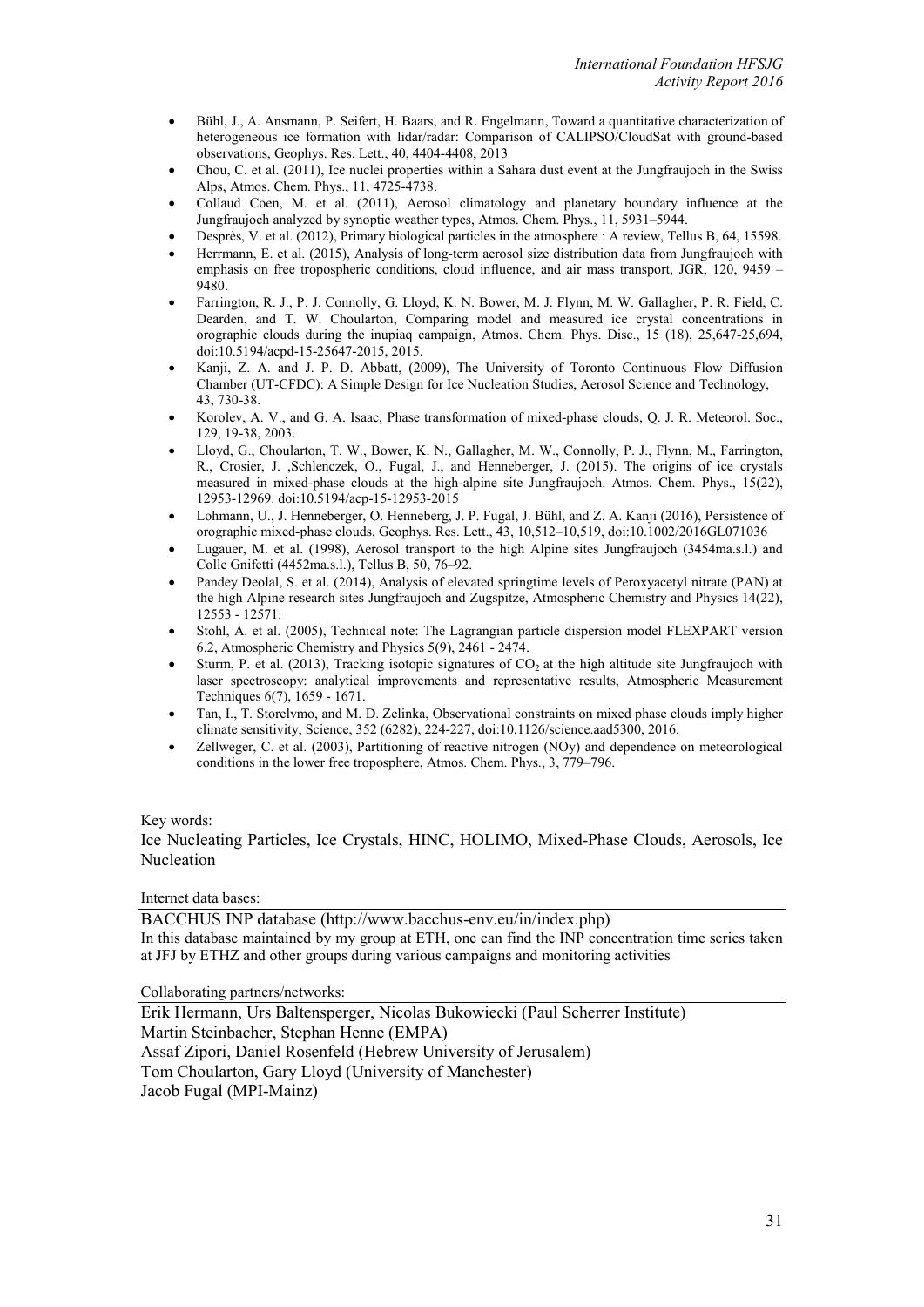- Bühl, J., A. Ansmann, P. Seifert, H. Baars, and R. Engelmann, Toward a quantitative characterization of heterogeneous ice formation with lidar/radar: Comparison of CALIPSO/CloudSat with ground-based observations, Geophys. Res. Lett., 40, 4404-4408, 2013
- Chou, C. et al. (2011), Ice nuclei properties within a Sahara dust event at the Jungfraujoch in the Swiss Alps, Atmos. Chem. Phys., 11, 4725-4738.
- Collaud Coen, M. et al. (2011), Aerosol climatology and planetary boundary influence at the Jungfraujoch analyzed by synoptic weather types, Atmos. Chem. Phys., 11, 5931–5944.
- Desprès, V. et al. (2012), Primary biological particles in the atmosphere : A review, Tellus B, 64, 15598.
- Herrmann, E. et al. (2015), Analysis of long-term aerosol size distribution data from Jungfraujoch with emphasis on free tropospheric conditions, cloud influence, and air mass transport, JGR, 120, 9459 – 9480.
- Farrington, R. J., P. J. Connolly, G. Lloyd, K. N. Bower, M. J. Flynn, M. W. Gallagher, P. R. Field, C. Dearden, and T. W. Choularton, Comparing model and measured ice crystal concentrations in orographic clouds during the inupiaq campaign, Atmos. Chem. Phys. Disc., 15 (18), 25,647-25,694, doi:10.5194/acpd-15-25647-2015, 2015.
- Kanji, Z. A. and J. P. D. Abbatt, (2009), The University of Toronto Continuous Flow Diffusion Chamber (UT-CFDC): A Simple Design for Ice Nucleation Studies, Aerosol Science and Technology, 43, 730-38.
- Korolev, A. V., and G. A. Isaac, Phase transformation of mixed-phase clouds, Q. J. R. Meteorol. Soc., 129, 19-38, 2003.
- Lloyd, G., Choularton, T. W., Bower, K. N., Gallagher, M. W., Connolly, P. J., Flynn, M., Farrington, R., Crosier, J. ,Schlenczek, O., Fugal, J., and Henneberger, J. (2015). The origins of ice crystals measured in mixed-phase clouds at the high-alpine site Jungfraujoch. Atmos. Chem. Phys., 15(22), 12953-12969. doi:10.5194/acp-15-12953-2015
- Lohmann, U., J. Henneberger, O. Henneberg, J. P. Fugal, J. Bühl, and Z. A. Kanji (2016), Persistence of orographic mixed-phase clouds, Geophys. Res. Lett., 43, 10,512–10,519, doi:10.1002/2016GL071036
- Lugauer, M. et al. (1998), Aerosol transport to the high Alpine sites Jungfraujoch (3454ma.s.l.) and Colle Gnifetti (4452ma.s.l.), Tellus B, 50, 76–92.
- Pandey Deolal, S. et al. (2014), Analysis of elevated springtime levels of Peroxyacetyl nitrate (PAN) at the high Alpine research sites Jungfraujoch and Zugspitze, Atmospheric Chemistry and Physics 14(22), 12553 - 12571.
- Stohl, A. et al. (2005), Technical note: The Lagrangian particle dispersion model FLEXPART version 6.2, Atmospheric Chemistry and Physics 5(9), 2461 - 2474.
- Sturm, P. et al. (2013), Tracking isotopic signatures of  $CO<sub>2</sub>$  at the high altitude site Jungfraujoch with laser spectroscopy: analytical improvements and representative results, Atmospheric Measurement Techniques 6(7), 1659 - 1671.
- Tan, I., T. Storelvmo, and M. D. Zelinka, Observational constraints on mixed phase clouds imply higher climate sensitivity, Science, 352 (6282), 224-227, doi:10.1126/science.aad5300, 2016.
- Zellweger, C. et al. (2003), Partitioning of reactive nitrogen (NOy) and dependence on meteorological conditions in the lower free troposphere, Atmos. Chem. Phys., 3, 779–796.

## Key words:

Ice Nucleating Particles, Ice Crystals, HINC, HOLIMO, Mixed-Phase Clouds, Aerosols, Ice Nucleation

#### Internet data bases:

BACCHUS INP database (http://www.bacchus-env.eu/in/index.php) In this database maintained by my group at ETH, one can find the INP concentration time series taken at JFJ by ETHZ and other groups during various campaigns and monitoring activities

Collaborating partners/networks:

Erik Hermann, Urs Baltensperger, Nicolas Bukowiecki (Paul Scherrer Institute) Martin Steinbacher, Stephan Henne (EMPA) Assaf Zipori, Daniel Rosenfeld (Hebrew University of Jerusalem) Tom Choularton, Gary Lloyd (University of Manchester) Jacob Fugal (MPI-Mainz)